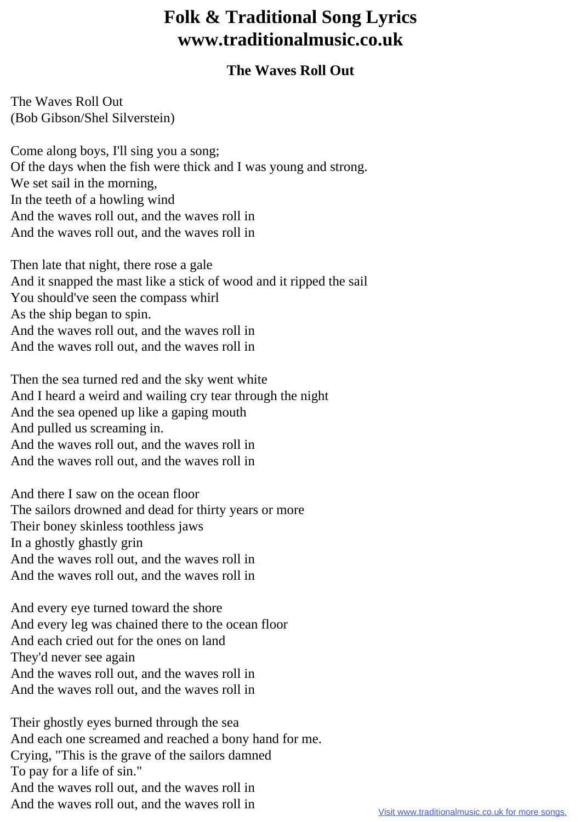## **Folk & Traditional Song Lyrics www.traditionalmusic.co.uk**

## **The Waves Roll Out**

The Waves Roll Out (Bob Gibson/Shel Silverstein)

Come along boys, I'll sing you a song; Of the days when the fish were thick and I was young and strong. We set sail in the morning, In the teeth of a howling wind And the waves roll out, and the waves roll in And the waves roll out, and the waves roll in

Then late that night, there rose a gale And it snapped the mast like a stick of wood and it ripped the sail You should've seen the compass whirl As the ship began to spin. And the waves roll out, and the waves roll in And the waves roll out, and the waves roll in

Then the sea turned red and the sky went white And I heard a weird and wailing cry tear through the night And the sea opened up like a gaping mouth And pulled us screaming in. And the waves roll out, and the waves roll in And the waves roll out, and the waves roll in

And there I saw on the ocean floor The sailors drowned and dead for thirty years or more Their boney skinless toothless jaws In a ghostly ghastly grin And the waves roll out, and the waves roll in And the waves roll out, and the waves roll in

And every eye turned toward the shore And every leg was chained there to the ocean floor And each cried out for the ones on land They'd never see again And the waves roll out, and the waves roll in And the waves roll out, and the waves roll in

Their ghostly eyes burned through the sea And each one screamed and reached a bony hand for me. Crying, "This is the grave of the sailors damned To pay for a life of sin." And the waves roll out, and the waves roll in And the waves roll out, and the waves roll in